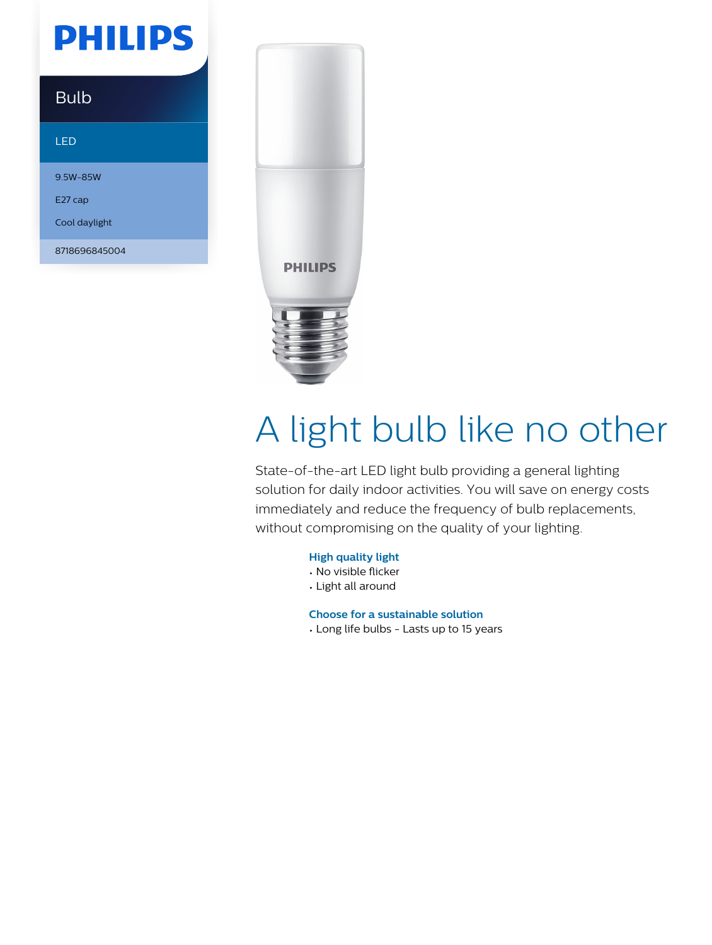## **PHILIPS**

### Bulb

#### LED

9.5W-85W E27 cap

Cool daylight

8718696845004



# A light bulb like no other

State-of-the-art LED light bulb providing a general lighting solution for daily indoor activities. You will save on energy costs immediately and reduce the frequency of bulb replacements, without compromising on the quality of your lighting.

#### **High quality light**

- No visible flicker
- Light all around

**Choose for a sustainable solution**

• Long life bulbs - Lasts up to 15 years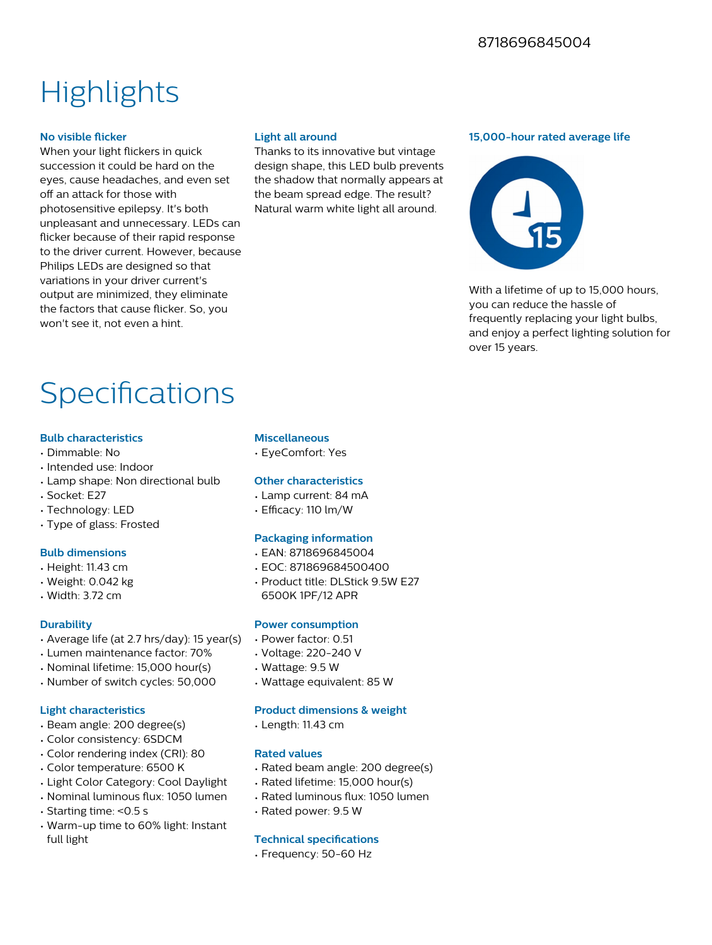## **Highlights**

#### **No visible flicker**

When your light flickers in quick succession it could be hard on the eyes, cause headaches, and even set off an attack for those with photosensitive epilepsy. It's both unpleasant and unnecessary. LEDs can flicker because of their rapid response to the driver current. However, because Philips LEDs are designed so that variations in your driver current's output are minimized, they eliminate the factors that cause flicker. So, you won't see it, not even a hint.

#### **Light all around**

Thanks to its innovative but vintage design shape, this LED bulb prevents the shadow that normally appears at the beam spread edge. The result? Natural warm white light all around.

#### **15,000-hour rated average life**



With a lifetime of up to 15,000 hours. you can reduce the hassle of frequently replacing your light bulbs, and enjoy a perfect lighting solution for over 15 years.

### Specifications

#### **Bulb characteristics**

- Dimmable: No
- Intended use: Indoor
- Lamp shape: Non directional bulb
- Socket: E27
- Technology: LED
- Type of glass: Frosted

#### **Bulb dimensions**

- Height: 11.43 cm
- Weight: 0.042 kg
- Width: 3.72 cm

#### **Durability**

- Average life (at 2.7 hrs/day): 15 year(s)
- Lumen maintenance factor: 70%
- Nominal lifetime: 15,000 hour(s)
- Number of switch cycles: 50,000

#### **Light characteristics**

- Beam angle: 200 degree(s)
- Color consistency: 6SDCM
- Color rendering index (CRI): 80
- Color temperature: 6500 K
- Light Color Category: Cool Daylight
- Nominal luminous flux: 1050 lumen
- Starting time: <0.5 s
- Warm-up time to 60% light: Instant full light

#### **Miscellaneous**

• EyeComfort: Yes

#### **Other characteristics**

- Lamp current: 84 mA
- $\cdot$  Efficacy: 110 lm/W

#### **Packaging information**

- EAN: 8718696845004
- EOC: 871869684500400
- Product title: DLStick 9.5W E27 6500K 1PF/12 APR

#### **Power consumption**

- Power factor: 0.51
- Voltage: 220-240 V
- Wattage: 9.5 W
- Wattage equivalent: 85 W

#### **Product dimensions & weight**

• Length: 11.43 cm

#### **Rated values**

- Rated beam angle: 200 degree(s)
- Rated lifetime: 15,000 hour(s)
- Rated luminous flux: 1050 lumen
- Rated power: 9.5 W

#### **Technical specifications**

• Frequency: 50-60 Hz